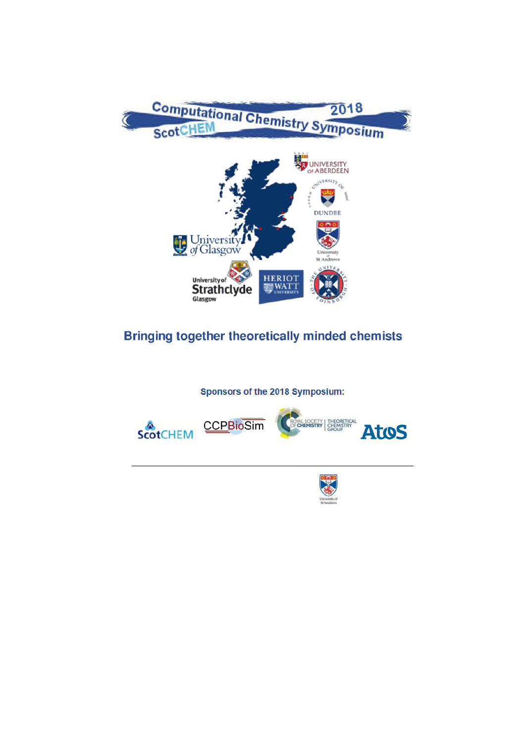

# **Bringing together theoretically minded chemists**

Sponsors of the 2018 Symposium:



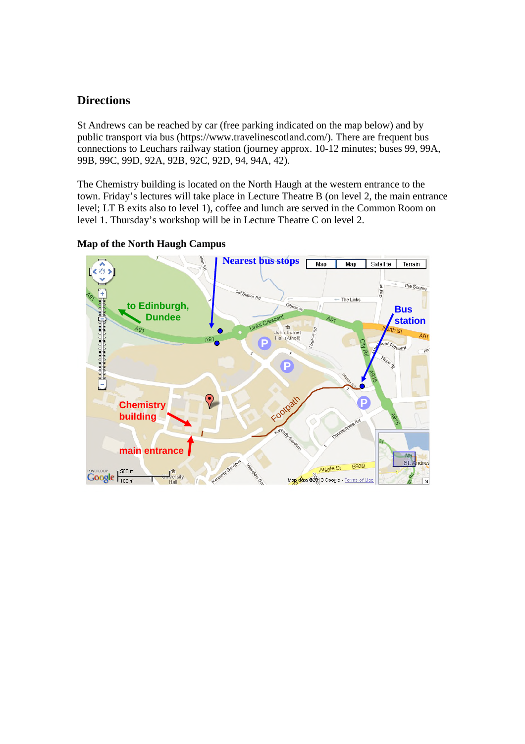## **Directions**

St Andrews can be reached by car (free parking indicated on the map below) and by public transport via bus (https://www.travelinescotland.com/). There are frequent bus connections to Leuchars railway station (journey approx. 10-12 minutes; buses 99, 99A, 99B, 99C, 99D, 92A, 92B, 92C, 92D, 94, 94A, 42).

The Chemistry building is located on the North Haugh at the western entrance to the town. Friday's lectures will take place in Lecture Theatre B (on level 2, the main entrance level; LT B exits also to level 1), coffee and lunch are served in the Common Room on level 1. Thursday's workshop will be in Lecture Theatre C on level 2.

### **Map of the North Haugh Campus**

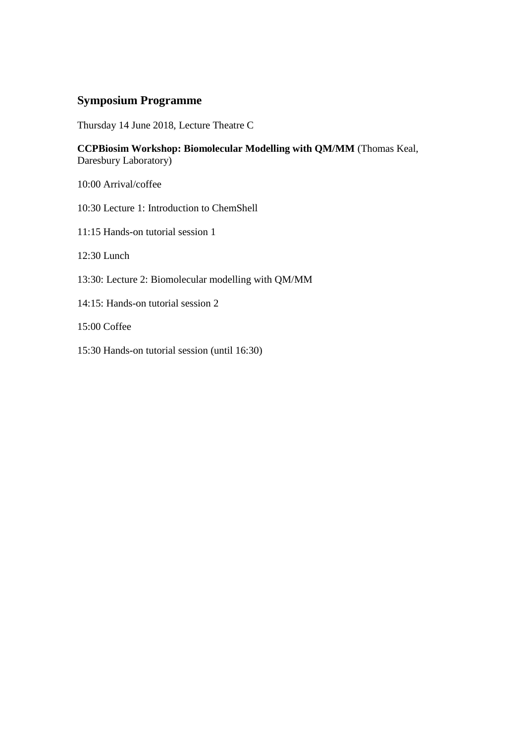### **Symposium Programme**

Thursday 14 June 2018, Lecture Theatre C

**CCPBiosim Workshop: Biomolecular Modelling with QM/MM** (Thomas Keal, Daresbury Laboratory)

10:00 Arrival/coffee

10:30 Lecture 1: Introduction to ChemShell

11:15 Hands-on tutorial session 1

12:30 Lunch

- 13:30: Lecture 2: Biomolecular modelling with QM/MM
- 14:15: Hands-on tutorial session 2

15:00 Coffee

15:30 Hands-on tutorial session (until 16:30)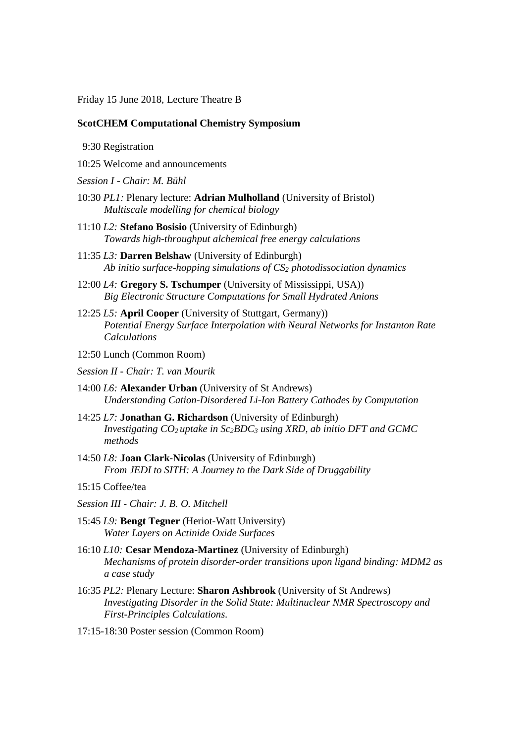Friday 15 June 2018, Lecture Theatre B

#### **ScotCHEM Computational Chemistry Symposium**

9:30 Registration

- 10:25 Welcome and announcements
- *Session I Chair: M. Bühl*
- 10:30 *PL1:* Plenary lecture: **Adrian Mulholland** (University of Bristol) *Multiscale modelling for chemical biology*
- 11:10 *L2:* **Stefano Bosisio** (University of Edinburgh) *Towards high-throughput alchemical free energy calculations*
- 11:35 *L3:* **Darren Belshaw** (University of Edinburgh) *Ab initio surface-hopping simulations of CS<sup>2</sup> photodissociation dynamics*
- 12:00 *L4:* **Gregory S. Tschumper** (University of Mississippi, USA)) *Big Electronic Structure Computations for Small Hydrated Anions*
- 12:25 *L5:* **April Cooper** (University of Stuttgart, Germany)) *Potential Energy Surface Interpolation with Neural Networks for Instanton Rate Calculations*
- 12:50 Lunch (Common Room)
- *Session II Chair: T. van Mourik*
- 14:00 *L6:* **Alexander Urban** (University of St Andrews) *Understanding Cation-Disordered Li-Ion Battery Cathodes by Computation*
- 14:25 *L7:* **Jonathan G. Richardson** (University of Edinburgh) *Investigating CO<sup>2</sup> uptake in Sc2BDC<sup>3</sup> using XRD, ab initio DFT and GCMC methods*
- 14:50 *L8:* **Joan Clark-Nicolas** (University of Edinburgh) *From JEDI to SITH: A Journey to the Dark Side of Druggability*

15:15 Coffee/tea

- *Session III Chair: J. B. O. Mitchell*
- 15:45 *L9:* **Bengt Tegner** (Heriot-Watt University) *Water Layers on Actinide Oxide Surfaces*
- 16:10 *L10:* **Cesar Mendoza-Martinez** (University of Edinburgh) *Mechanisms of protein disorder-order transitions upon ligand binding: MDM2 as a case study*
- 16:35 *PL2:* Plenary Lecture: **Sharon Ashbrook** (University of St Andrews) *Investigating Disorder in the Solid State: Multinuclear NMR Spectroscopy and First-Principles Calculations.*
- 17:15-18:30 Poster session (Common Room)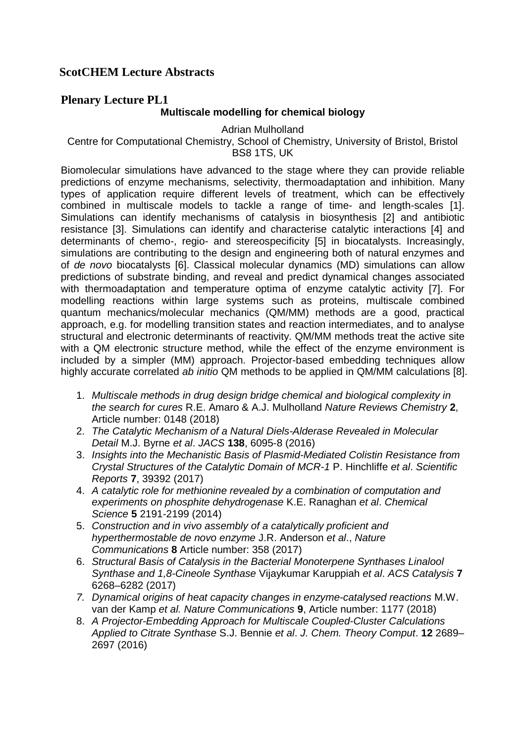# **ScotCHEM Lecture Abstracts**

# **Plenary Lecture PL1**

### **Multiscale modelling for chemical biology**

Adrian Mulholland

Centre for Computational Chemistry, School of Chemistry, University of Bristol, Bristol BS8 1TS, UK

Biomolecular simulations have advanced to the stage where they can provide reliable predictions of enzyme mechanisms, selectivity, thermoadaptation and inhibition. Many types of application require different levels of treatment, which can be effectively combined in multiscale models to tackle a range of time- and length-scales [1]. Simulations can identify mechanisms of catalysis in biosynthesis [2] and antibiotic resistance [3]. Simulations can identify and characterise catalytic interactions [4] and determinants of chemo-, regio- and stereospecificity [5] in biocatalysts. Increasingly, simulations are contributing to the design and engineering both of natural enzymes and of *de novo* biocatalysts [6]. Classical molecular dynamics (MD) simulations can allow predictions of substrate binding, and reveal and predict dynamical changes associated with thermoadaptation and temperature optima of enzyme catalytic activity [7]. For modelling reactions within large systems such as proteins, multiscale combined quantum mechanics/molecular mechanics (QM/MM) methods are a good, practical approach, e.g. for modelling transition states and reaction intermediates, and to analyse structural and electronic determinants of reactivity. QM/MM methods treat the active site with a QM electronic structure method, while the effect of the enzyme environment is included by a simpler (MM) approach. Projector-based embedding techniques allow highly accurate correlated *ab initio* QM methods to be applied in QM/MM calculations [8].

- 1. *Multiscale methods in drug design bridge chemical and biological complexity in the search for cures* R.E. Amaro & A.J. Mulholland *Nature Reviews Chemistry* **2**, Article number: 0148 (2018)
- 2. *The Catalytic Mechanism of a Natural Diels-Alderase Revealed in Molecular Detail* M.J. Byrne *et al*. *JACS* **138**, 6095-8 (2016)
- 3. *Insights into the Mechanistic Basis of Plasmid-Mediated Colistin Resistance from Crystal Structures of the Catalytic Domain of MCR-1* P. Hinchliffe *et al*. *Scientific Reports* **7**, 39392 (2017)
- 4. *A catalytic role for methionine revealed by a combination of computation and experiments on phosphite dehydrogenase* K.E. Ranaghan *et al*. *Chemical Science* **5** 2191-2199 (2014)
- 5. *Construction and in vivo assembly of a catalytically proficient and hyperthermostable de novo enzyme* J.R. Anderson *et al*., *Nature Communications* **8** Article number: 358 (2017)
- 6. *Structural Basis of Catalysis in the Bacterial Monoterpene Synthases Linalool Synthase and 1,8-Cineole Synthase* Vijaykumar Karuppiah *et al*. *ACS Catalysis* **7** 6268–6282 (2017)
- *7. Dynamical origins of heat capacity changes in enzyme-catalysed reactions* M.W. van der Kamp *et al. Nature Communications* **9**, Article number: 1177 (2018)
- 8. *A Projector-Embedding Approach for Multiscale Coupled-Cluster Calculations Applied to Citrate Synthase* S.J. Bennie *et al*. *J. Chem. Theory Comput*. **12** 2689– 2697 (2016)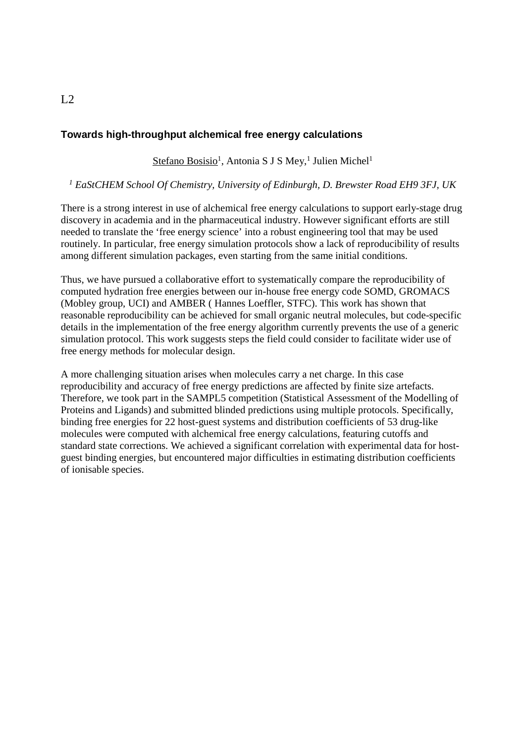### **Towards high-throughput alchemical free energy calculations**

Stefano Bosisio<sup>1</sup>, Antonia S J S Mey,<sup>1</sup> Julien Michel<sup>1</sup>

#### *<sup>1</sup> EaStCHEM School Of Chemistry, University of Edinburgh, D. Brewster Road EH9 3FJ, UK*

There is a strong interest in use of alchemical free energy calculations to support early-stage drug discovery in academia and in the pharmaceutical industry. However significant efforts are still needed to translate the 'free energy science' into a robust engineering tool that may be used routinely. In particular, free energy simulation protocols show a lack of reproducibility of results among different simulation packages, even starting from the same initial conditions.

Thus, we have pursued a collaborative effort to systematically compare the reproducibility of computed hydration free energies between our in-house free energy code SOMD, GROMACS (Mobley group, UCI) and AMBER ( Hannes Loeffler, STFC). This work has shown that reasonable reproducibility can be achieved for small organic neutral molecules, but code-specific details in the implementation of the free energy algorithm currently prevents the use of a generic simulation protocol. This work suggests steps the field could consider to facilitate wider use of free energy methods for molecular design.

A more challenging situation arises when molecules carry a net charge. In this case reproducibility and accuracy of free energy predictions are affected by finite size artefacts. Therefore, we took part in the SAMPL5 competition (Statistical Assessment of the Modelling of Proteins and Ligands) and submitted blinded predictions using multiple protocols. Specifically, binding free energies for 22 host-guest systems and distribution coefficients of 53 drug-like molecules were computed with alchemical free energy calculations, featuring cutoffs and standard state corrections. We achieved a significant correlation with experimental data for hostguest binding energies, but encountered major difficulties in estimating distribution coefficients of ionisable species.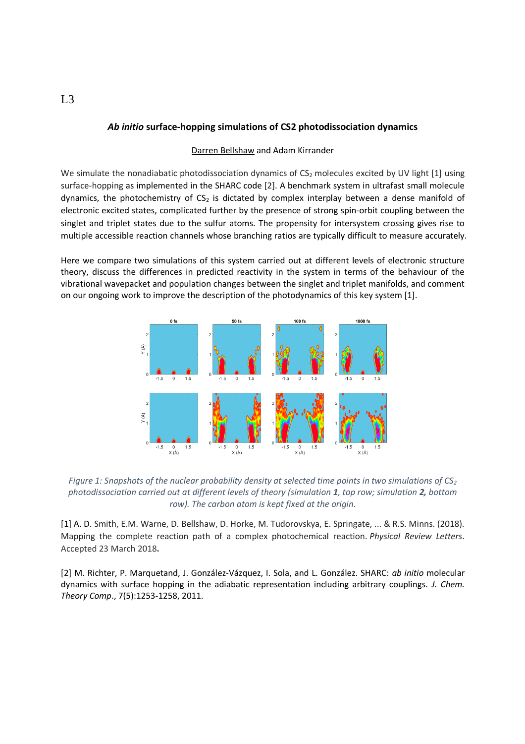#### *Ab initio* **surface-hopping simulations of CS2 photodissociation dynamics**

#### Darren Bellshaw and Adam Kirrander

We simulate the nonadiabatic photodissociation dynamics of  $CS<sub>2</sub>$  molecules excited by UV light [1] using surface-hopping as implemented in the SHARC code [2]. A benchmark system in ultrafast small molecule dynamics, the photochemistry of  $CS<sub>2</sub>$  is dictated by complex interplay between a dense manifold of electronic excited states, complicated further by the presence of strong spin-orbit coupling between the singlet and triplet states due to the sulfur atoms. The propensity for intersystem crossing gives rise to multiple accessible reaction channels whose branching ratios are typically difficult to measure accurately.

Here we compare two simulations of this system carried out at different levels of electronic structure theory, discuss the differences in predicted reactivity in the system in terms of the behaviour of the vibrational wavepacket and population changes between the singlet and triplet manifolds, and comment on our ongoing work to improve the description of the photodynamics of this key system [1].



*Figure 1: Snapshots of the nuclear probability density at selected time points in two simulations of CS<sup>2</sup> photodissociation carried out at different levels of theory (simulation 1, top row; simulation 2, bottom row). The carbon atom is kept fixed at the origin.*

[1] A. D. Smith, E.M. Warne, D. Bellshaw, D. Horke, M. Tudorovskya, E. Springate, ... & R.S. Minns. (2018). Mapping the complete reaction path of a complex photochemical reaction. *Physical Review Letters*. Accepted 23 March 2018**.**

[2] M. Richter, P. Marquetand, J. González-Vázquez, I. Sola, and L. González. SHARC: *ab initio* molecular dynamics with surface hopping in the adiabatic representation including arbitrary couplings. *J. Chem. Theory Comp*., 7(5):1253-1258, 2011.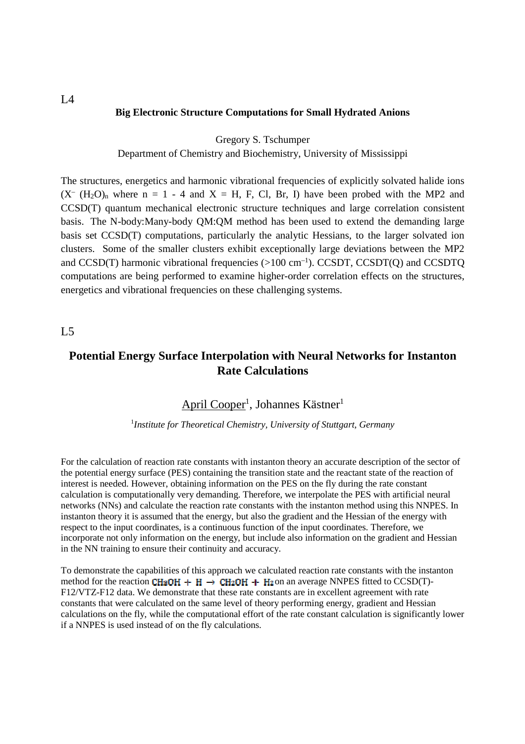#### **Big Electronic Structure Computations for Small Hydrated Anions**

Gregory S. Tschumper

Department of Chemistry and Biochemistry, University of Mississippi

The structures, energetics and harmonic vibrational frequencies of explicitly solvated halide ions  $(X^-(H_2O)_n$  where  $n = 1 - 4$  and  $X = H$ , F, Cl, Br, I) have been probed with the MP2 and CCSD(T) quantum mechanical electronic structure techniques and large correlation consistent basis. The N-body:Many-body QM:QM method has been used to extend the demanding large basis set CCSD(T) computations, particularly the analytic Hessians, to the larger solvated ion clusters. Some of the smaller clusters exhibit exceptionally large deviations between the MP2 and CCSD(T) harmonic vibrational frequencies  $(>100 \text{ cm}^{-1})$ . CCSDT, CCSDT(Q) and CCSDTQ computations are being performed to examine higher-order correlation effects on the structures, energetics and vibrational frequencies on these challenging systems.

#### L5

# **Potential Energy Surface Interpolation with Neural Networks for Instanton Rate Calculations**

### April Cooper<sup>1</sup>, Johannes Kästner<sup>1</sup>

#### 1 *Institute for Theoretical Chemistry, University of Stuttgart, Germany*

For the calculation of reaction rate constants with instanton theory an accurate description of the sector of the potential energy surface (PES) containing the transition state and the reactant state of the reaction of interest is needed. However, obtaining information on the PES on the fly during the rate constant calculation is computationally very demanding. Therefore, we interpolate the PES with artificial neural networks (NNs) and calculate the reaction rate constants with the instanton method using this NNPES. In instanton theory it is assumed that the energy, but also the gradient and the Hessian of the energy with respect to the input coordinates, is a continuous function of the input coordinates. Therefore, we incorporate not only information on the energy, but include also information on the gradient and Hessian in the NN training to ensure their continuity and accuracy.

To demonstrate the capabilities of this approach we calculated reaction rate constants with the instanton method for the reaction CH<sub>3</sub>OH + H  $\rightarrow$  CH<sub>2</sub>OH + H<sub>2</sub>on an average NNPES fitted to CCSD(T)-F12/VTZ-F12 data. We demonstrate that these rate constants are in excellent agreement with rate constants that were calculated on the same level of theory performing energy, gradient and Hessian calculations on the fly, while the computational effort of the rate constant calculation is significantly lower if a NNPES is used instead of on the fly calculations.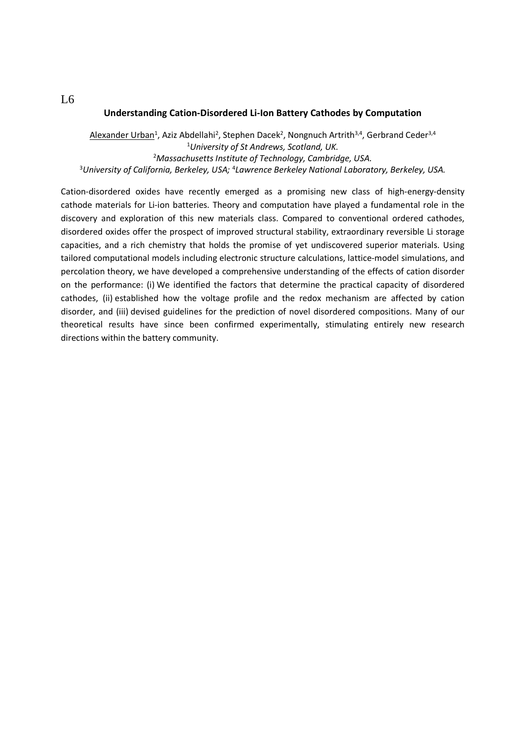#### **Understanding Cation-Disordered Li-Ion Battery Cathodes by Computation**

Alexander Urban<sup>1</sup>, Aziz Abdellahi<sup>2</sup>, Stephen Dacek<sup>2</sup>, Nongnuch Artrith<sup>3,4</sup>, Gerbrand Ceder<sup>3,4</sup> *University of St Andrews, Scotland, UK. Massachusetts Institute of Technology, Cambridge, USA. University of California, Berkeley, USA;* <sup>4</sup> *Lawrence Berkeley National Laboratory, Berkeley, USA.*

Cation-disordered oxides have recently emerged as a promising new class of high-energy-density cathode materials for Li-ion batteries. Theory and computation have played a fundamental role in the discovery and exploration of this new materials class. Compared to conventional ordered cathodes, disordered oxides offer the prospect of improved structural stability, extraordinary reversible Li storage capacities, and a rich chemistry that holds the promise of yet undiscovered superior materials. Using tailored computational models including electronic structure calculations, lattice-model simulations, and percolation theory, we have developed a comprehensive understanding of the effects of cation disorder on the performance: (i) We identified the factors that determine the practical capacity of disordered cathodes, (ii) established how the voltage profile and the redox mechanism are affected by cation disorder, and (iii) devised guidelines for the prediction of novel disordered compositions. Many of our theoretical results have since been confirmed experimentally, stimulating entirely new research directions within the battery community.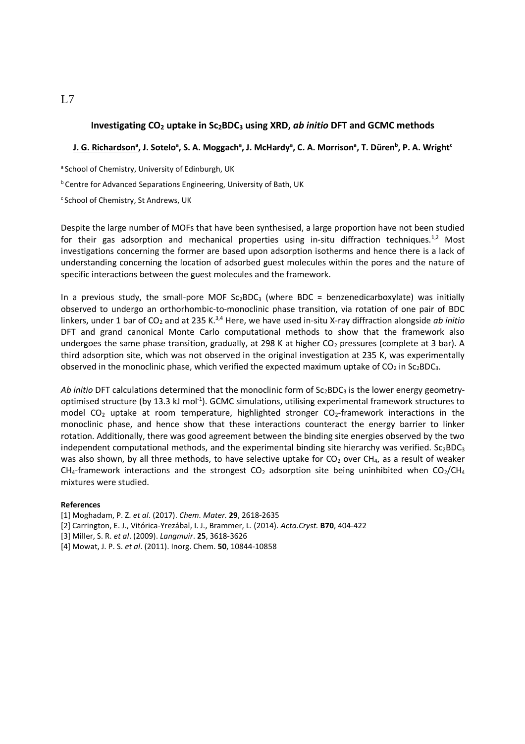#### **Investigating CO<sup>2</sup> uptake in Sc2BDC<sup>3</sup> using XRD,** *ab initio* **DFT and GCMC methods**

#### **J. G. Richardson<sup>a</sup> , J. Sotelo<sup>a</sup> , S. A. Moggach<sup>a</sup> , J. McHardy<sup>a</sup> , C. A. Morrison<sup>a</sup> , T. Düren<sup>b</sup> , P. A. Wright<sup>c</sup>**

<sup>a</sup> School of Chemistry, University of Edinburgh, UK

b Centre for Advanced Separations Engineering, University of Bath, UK

c School of Chemistry, St Andrews, UK

Despite the large number of MOFs that have been synthesised, a large proportion have not been studied for their gas adsorption and mechanical properties using in-situ diffraction techniques.<sup>1,2</sup> Most investigations concerning the former are based upon adsorption isotherms and hence there is a lack of understanding concerning the location of adsorbed guest molecules within the pores and the nature of specific interactions between the guest molecules and the framework.

In a previous study, the small-pore MOF  $Sc_2BDC_3$  (where BDC = benzenedicarboxylate) was initially observed to undergo an orthorhombic-to-monoclinic phase transition, via rotation of one pair of BDC linkers, under 1 bar of CO<sub>2</sub> and at 235 K.<sup>3,4</sup> Here, we have used in-situ X-ray diffraction alongside *ab initio* DFT and grand canonical Monte Carlo computational methods to show that the framework also undergoes the same phase transition, gradually, at 298 K at higher  $CO<sub>2</sub>$  pressures (complete at 3 bar). A third adsorption site, which was not observed in the original investigation at 235 K, was experimentally observed in the monoclinic phase, which verified the expected maximum uptake of  $CO<sub>2</sub>$  in Sc<sub>2</sub>BDC<sub>3</sub>.

Ab initio DFT calculations determined that the monoclinic form of Sc<sub>2</sub>BDC<sub>3</sub> is the lower energy geometryoptimised structure (by 13.3 kJ mol<sup>-1</sup>). GCMC simulations, utilising experimental framework structures to model  $CO<sub>2</sub>$  uptake at room temperature, highlighted stronger  $CO<sub>2</sub>$ -framework interactions in the monoclinic phase, and hence show that these interactions counteract the energy barrier to linker rotation. Additionally, there was good agreement between the binding site energies observed by the two independent computational methods, and the experimental binding site hierarchy was verified.  $Sc_2BDC_3$ was also shown, by all three methods, to have selective uptake for  $CO<sub>2</sub>$  over CH<sub>4</sub>, as a result of weaker CH<sub>4</sub>-framework interactions and the strongest CO<sub>2</sub> adsorption site being uninhibited when CO<sub>2</sub>/CH<sub>4</sub> mixtures were studied.

#### **References**

- [1] Moghadam, P. Z. *et al*. (2017). *Chem. Mater.* **29**, 2618-2635
- [2] Carrington, E. J., Vitórica-Yrezábal, I. J., Brammer, L. (2014). *Acta.Cryst.* **B70**, 404-422
- [3] Miller, S. R. *et al*. (2009). *Langmuir*. **25**, 3618-3626
- [4] Mowat, J. P. S. *et al*. (2011). Inorg. Chem. **50**, 10844-10858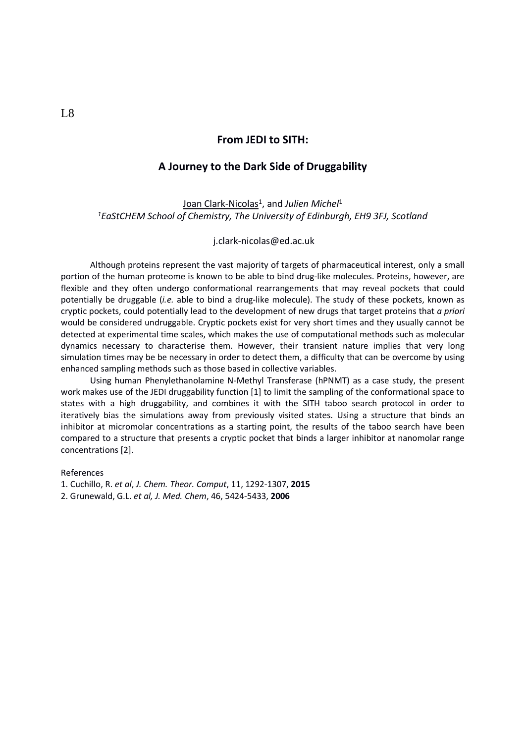#### **From JEDI to SITH:**

#### **A Journey to the Dark Side of Druggability**

Joan Clark-Nicolas<sup>1</sup>, and Julien Michel<sup>1</sup> *<sup>1</sup>EaStCHEM School of Chemistry, The University of Edinburgh, EH9 3FJ, Scotland*

j.clark-nicolas@ed.ac.uk

Although proteins represent the vast majority of targets of pharmaceutical interest, only a small portion of the human proteome is known to be able to bind drug-like molecules. Proteins, however, are flexible and they often undergo conformational rearrangements that may reveal pockets that could potentially be druggable (*i.e.* able to bind a drug-like molecule). The study of these pockets, known as cryptic pockets, could potentially lead to the development of new drugs that target proteins that *a priori* would be considered undruggable. Cryptic pockets exist for very short times and they usually cannot be detected at experimental time scales, which makes the use of computational methods such as molecular dynamics necessary to characterise them. However, their transient nature implies that very long simulation times may be be necessary in order to detect them, a difficulty that can be overcome by using enhanced sampling methods such as those based in collective variables.

Using human Phenylethanolamine N-Methyl Transferase (hPNMT) as a case study, the present work makes use of the JEDI druggability function [1] to limit the sampling of the conformational space to states with a high druggability, and combines it with the SITH taboo search protocol in order to iteratively bias the simulations away from previously visited states. Using a structure that binds an inhibitor at micromolar concentrations as a starting point, the results of the taboo search have been compared to a structure that presents a cryptic pocket that binds a larger inhibitor at nanomolar range concentrations [2].

References

1. Cuchillo, R. *et al*, *J. Chem. Theor. Comput*, 11, 1292-1307, **2015**

2. Grunewald, G.L. *et al, J. Med. Chem*, 46, 5424-5433, **2006**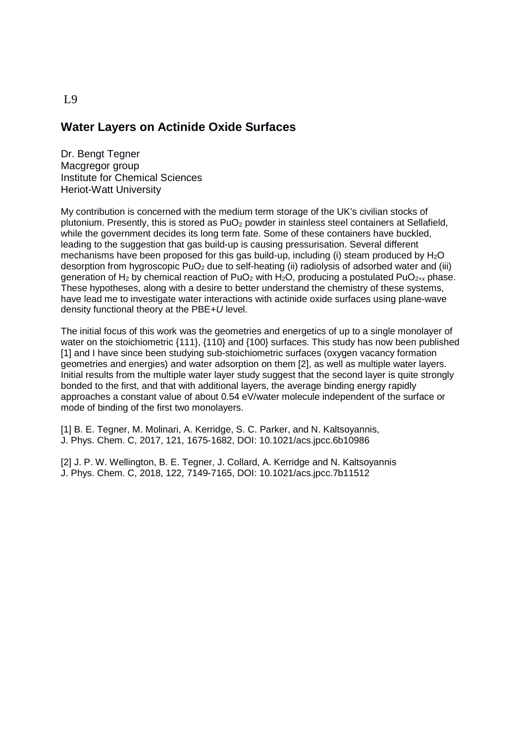# **Water Layers on Actinide Oxide Surfaces**

Dr. Bengt Tegner Macgregor group Institute for Chemical Sciences Heriot-Watt University

My contribution is concerned with the medium term storage of the UK's civilian stocks of plutonium. Presently, this is stored as  $PuO<sub>2</sub>$  powder in stainless steel containers at Sellafield, while the government decides its long term fate. Some of these containers have buckled, leading to the suggestion that gas build-up is causing pressurisation. Several different mechanisms have been proposed for this gas build-up, including (i) steam produced by  $H_2O$ desorption from hygroscopic PuO<sub>2</sub> due to self-heating (ii) radiolysis of adsorbed water and (iii) generation of H<sub>2</sub> by chemical reaction of PuO<sub>2</sub> with H<sub>2</sub>O, producing a postulated PuO<sub>2+x</sub> phase. These hypotheses, along with a desire to better understand the chemistry of these systems, have lead me to investigate water interactions with actinide oxide surfaces using plane-wave density functional theory at the PBE+*U* level.

The initial focus of this work was the geometries and energetics of up to a single monolayer of water on the stoichiometric {111}, {110} and {100} surfaces. This study has now been published [1] and I have since been studying sub-stoichiometric surfaces (oxygen vacancy formation geometries and energies) and water adsorption on them [2], as well as multiple water layers. Initial results from the multiple water layer study suggest that the second layer is quite strongly bonded to the first, and that with additional layers, the average binding energy rapidly approaches a constant value of about 0.54 eV/water molecule independent of the surface or mode of binding of the first two monolayers.

[1] B. E. Tegner, M. Molinari, A. Kerridge, S. C. Parker, and N. Kaltsoyannis, J. Phys. Chem. C, 2017, 121, 1675-1682, DOI: 10.1021/acs.jpcc.6b10986

[2] J. P. W. Wellington, B. E. Tegner, J. Collard, A. Kerridge and N. Kaltsoyannis J. Phys. Chem. C, 2018, 122, 7149-7165, DOI: 10.1021/acs.jpcc.7b11512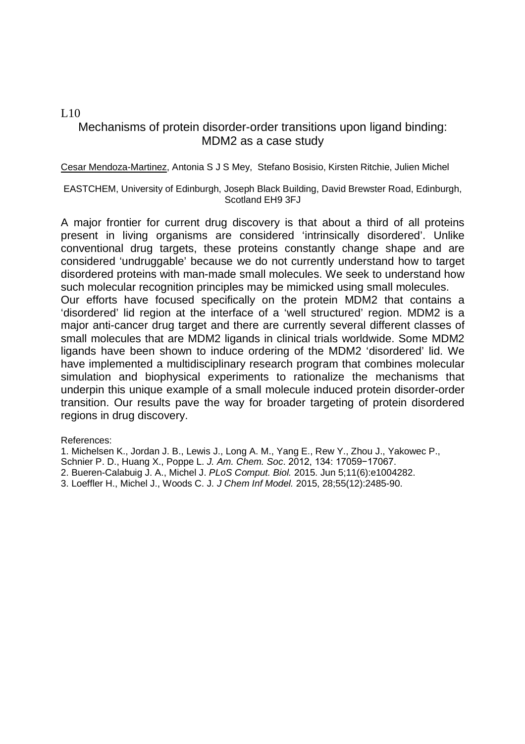### L10

## Mechanisms of protein disorder-order transitions upon ligand binding: MDM2 as a case study

Cesar Mendoza-Martinez, Antonia S J S Mey, Stefano Bosisio, Kirsten Ritchie, Julien Michel

EASTCHEM, University of Edinburgh, Joseph Black Building, David Brewster Road, Edinburgh, Scotland EH9 3FJ

A major frontier for current drug discovery is that about a third of all proteins present in living organisms are considered 'intrinsically disordered'. Unlike conventional drug targets, these proteins constantly change shape and are considered 'undruggable' because we do not currently understand how to target disordered proteins with man-made small molecules. We seek to understand how such molecular recognition principles may be mimicked using small molecules.

Our efforts have focused specifically on the protein MDM2 that contains a 'disordered' lid region at the interface of a 'well structured' region. MDM2 is a major anti-cancer drug target and there are currently several different classes of small molecules that are MDM2 ligands in clinical trials worldwide. Some MDM2 ligands have been shown to induce ordering of the MDM2 'disordered' lid. We have implemented a multidisciplinary research program that combines molecular simulation and biophysical experiments to rationalize the mechanisms that underpin this unique example of a small molecule induced protein disorder-order transition. Our results pave the way for broader targeting of protein disordered regions in drug discovery.

References:

1. Michelsen K., Jordan J. B., Lewis J., Long A. M., Yang E., Rew Y., Zhou J., Yakowec P.,

Schnier P. D., Huang X., Poppe L. *J. Am. Chem. Soc*. 2012, 134: 17059−17067.

2. Bueren-Calabuig J. A., Michel J. *PLoS Comput. Biol.* 2015. Jun 5;11(6):e1004282.

3. Loeffler H., Michel J., Woods C. J. *J Chem Inf Model.* 2015, 28;55(12):2485-90.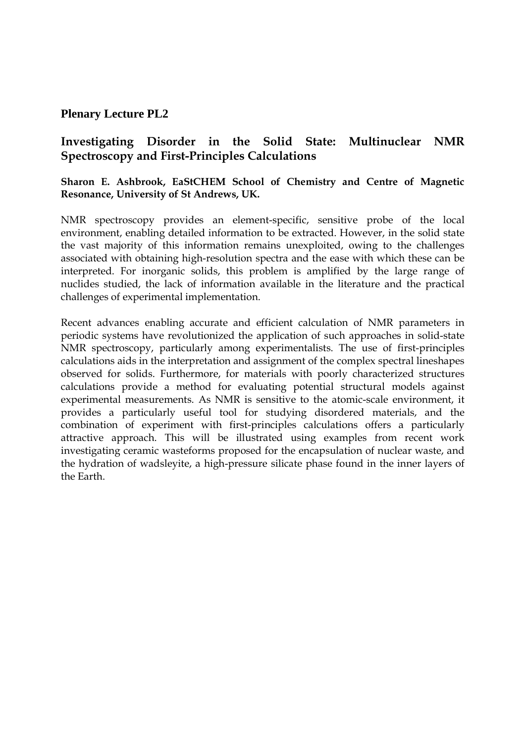### **Plenary Lecture PL2**

# **Investigating Disorder in the Solid State: Multinuclear NMR Spectroscopy and First-Principles Calculations**

### **Sharon E. Ashbrook, EaStCHEM School of Chemistry and Centre of Magnetic Resonance, University of St Andrews, UK.**

NMR spectroscopy provides an element-specific, sensitive probe of the local environment, enabling detailed information to be extracted. However, in the solid state the vast majority of this information remains unexploited, owing to the challenges associated with obtaining high-resolution spectra and the ease with which these can be interpreted. For inorganic solids, this problem is amplified by the large range of nuclides studied, the lack of information available in the literature and the practical challenges of experimental implementation.

Recent advances enabling accurate and efficient calculation of NMR parameters in periodic systems have revolutionized the application of such approaches in solid-state NMR spectroscopy, particularly among experimentalists. The use of first-principles calculations aids in the interpretation and assignment of the complex spectral lineshapes observed for solids. Furthermore, for materials with poorly characterized structures calculations provide a method for evaluating potential structural models against experimental measurements. As NMR is sensitive to the atomic-scale environment, it provides a particularly useful tool for studying disordered materials, and the combination of experiment with first-principles calculations offers a particularly attractive approach. This will be illustrated using examples from recent work investigating ceramic wasteforms proposed for the encapsulation of nuclear waste, and the hydration of wadsleyite, a high-pressure silicate phase found in the inner layers of the Earth.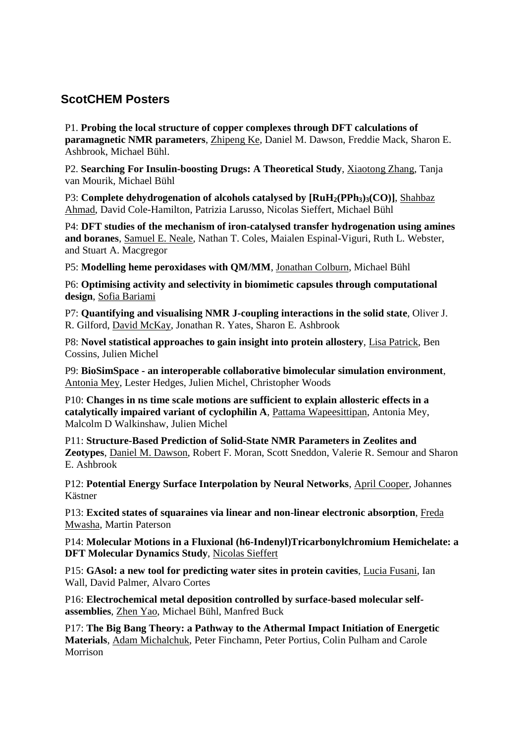# **ScotCHEM Posters**

P1. **Probing the local structure of copper complexes through DFT calculations of paramagnetic NMR parameters**, Zhipeng Ke, Daniel M. Dawson, Freddie Mack, Sharon E. Ashbrook, Michael Bühl.

P2. **Searching For Insulin-boosting Drugs: A Theoretical Study**, Xiaotong Zhang, Tanja van Mourik, Michael Bühl

P3: **Complete dehydrogenation of alcohols catalysed by [RuH2(PPh3)3(CO)]**, Shahbaz Ahmad, David Cole-Hamilton, Patrizia Larusso, Nicolas Sieffert, Michael Bühl

P4: **DFT studies of the mechanism of iron-catalysed transfer hydrogenation using amines and boranes**, Samuel E. Neale, Nathan T. Coles, Maialen Espinal-Viguri, Ruth L. Webster, and Stuart A. Macgregor

P5: **Modelling heme peroxidases with QM/MM**, Jonathan Colburn, Michael Bühl

P6: **Optimising activity and selectivity in biomimetic capsules through computational design**, Sofia Bariami

P7: **Quantifying and visualising NMR J-coupling interactions in the solid state**, Oliver J. R. Gilford, David McKay, Jonathan R. Yates, Sharon E. Ashbrook

P8: **Novel statistical approaches to gain insight into protein allostery**, Lisa Patrick, Ben Cossins, Julien Michel

P9: **BioSimSpace - an interoperable collaborative bimolecular simulation environment**, Antonia Mey, Lester Hedges, Julien Michel, Christopher Woods

P10: **Changes in ns time scale motions are sufficient to explain allosteric effects in a catalytically impaired variant of cyclophilin A**, Pattama Wapeesittipan, Antonia Mey, Malcolm D Walkinshaw, Julien Michel

P11: **Structure-Based Prediction of Solid-State NMR Parameters in Zeolites and Zeotypes**, Daniel M. Dawson, Robert F. Moran, Scott Sneddon, Valerie R. Semour and Sharon E. Ashbrook

P12: **Potential Energy Surface Interpolation by Neural Networks**, April Cooper, Johannes Kästner

P13: **Excited states of squaraines via linear and non-linear electronic absorption**, Freda Mwasha, Martin Paterson

P14: **Molecular Motions in a Fluxional (h6-Indenyl)Tricarbonylchromium Hemichelate: a DFT Molecular Dynamics Study**, Nicolas Sieffert

P15: **GAsol: a new tool for predicting water sites in protein cavities**, Lucia Fusani, Ian Wall, David Palmer, Alvaro Cortes

P16: **Electrochemical metal deposition controlled by surface-based molecular selfassemblies**, Zhen Yao, Michael Bühl, Manfred Buck

P17: **The Big Bang Theory: a Pathway to the Athermal Impact Initiation of Energetic Materials**, Adam Michalchuk, Peter Finchamn, Peter Portius, Colin Pulham and Carole Morrison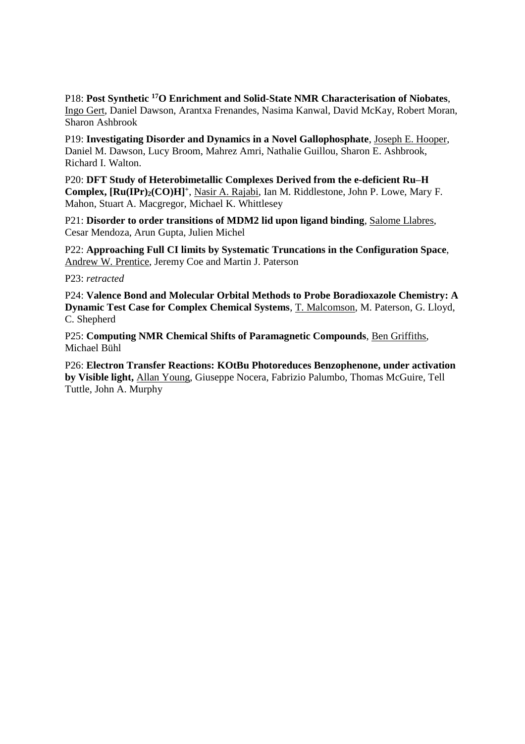P18: **Post Synthetic <sup>17</sup>O Enrichment and Solid-State NMR Characterisation of Niobates**, Ingo Gert, Daniel Dawson, Arantxa Frenandes, Nasima Kanwal, David McKay, Robert Moran, Sharon Ashbrook

P19: **Investigating Disorder and Dynamics in a Novel Gallophosphate**, Joseph E. Hooper, Daniel M. Dawson, Lucy Broom, Mahrez Amri, Nathalie Guillou, Sharon E. Ashbrook, Richard I. Walton.

P20: **DFT Study of Heterobimetallic Complexes Derived from the e-deficient Ru-H Complex, [Ru(IPr)2(CO)H]<sup>+</sup>** , Nasir A. Rajabi, Ian M. Riddlestone, John P. Lowe, Mary F. Mahon, Stuart A. Macgregor, Michael K. Whittlesey

P21: **Disorder to order transitions of MDM2 lid upon ligand binding**, Salome Llabres, Cesar Mendoza, Arun Gupta, Julien Michel

P22: **Approaching Full CI limits by Systematic Truncations in the Configuration Space**, Andrew W. Prentice, Jeremy Coe and Martin J. Paterson

P23: *retracted*

P24: **Valence Bond and Molecular Orbital Methods to Probe Boradioxazole Chemistry: A Dynamic Test Case for Complex Chemical Systems**, T. Malcomson, M. Paterson, G. Lloyd, C. Shepherd

P25: **Computing NMR Chemical Shifts of Paramagnetic Compounds**, Ben Griffiths, Michael Bühl

P26: **Electron Transfer Reactions: KOtBu Photoreduces Benzophenone, under activation by Visible light,** Allan Young, Giuseppe Nocera, Fabrizio Palumbo, Thomas McGuire, Tell Tuttle, John A. Murphy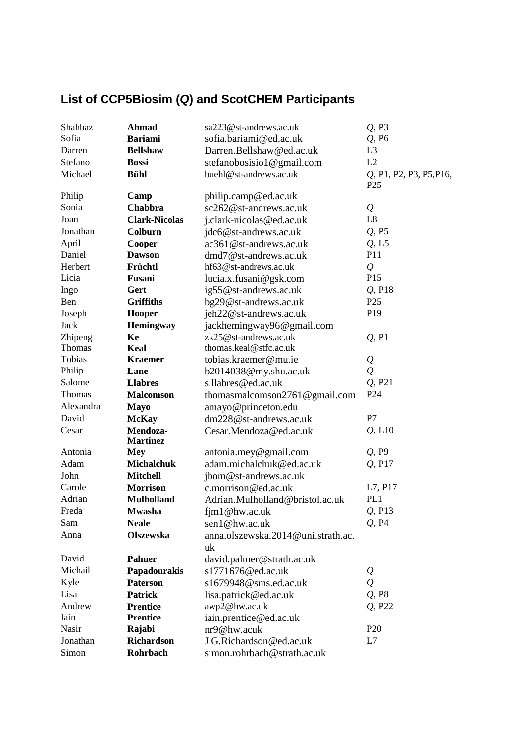# **List of CCP5Biosim (***Q***) and ScotCHEM Participants**

| Shahbaz       | <b>Ahmad</b>         | sa223@st-andrews.ac.uk                   | $Q$ , P <sub>3</sub>                       |
|---------------|----------------------|------------------------------------------|--------------------------------------------|
| Sofia         | <b>Bariami</b>       | sofia.bariami@ed.ac.uk                   | $Q$ , P <sub>6</sub>                       |
| Darren        | <b>Bellshaw</b>      | Darren.Bellshaw@ed.ac.uk                 | L <sub>3</sub>                             |
| Stefano       | <b>Bossi</b>         | stefanobosisio1@gmail.com                | L2                                         |
| Michael       | <b>Bühl</b>          | buehl@st-andrews.ac.uk                   | Q, P1, P2, P3, P5, P16,<br>P <sub>25</sub> |
| Philip        | Camp                 | philip.camp@ed.ac.uk                     |                                            |
| Sonia         | Chabbra              | sc262@st-andrews.ac.uk                   | $\mathcal{Q}$                              |
| Joan          | <b>Clark-Nicolas</b> | j.clark-nicolas@ed.ac.uk                 | L8                                         |
| Jonathan      | Colburn              | jdc6@st-andrews.ac.uk                    | $Q$ , P5                                   |
| April         | Cooper               | ac361@st-andrews.ac.uk                   | $Q$ , L5                                   |
| Daniel        | <b>Dawson</b>        | $dmd7@st$ -andrews.ac.uk                 | P11                                        |
| Herbert       | Früchtl              | hf63@st-andrews.ac.uk                    | $\overline{Q}$                             |
| Licia         | Fusani               | lucia.x.fusani@gsk.com                   | P <sub>15</sub>                            |
| Ingo          | Gert                 | ig55@st-andrews.ac.uk                    | $Q$ , P <sub>18</sub>                      |
| Ben           | <b>Griffiths</b>     | bg29@st-andrews.ac.uk                    | P <sub>25</sub>                            |
| Joseph        | Hooper               | jeh22@st-andrews.ac.uk                   | P <sub>19</sub>                            |
| Jack          | Hemingway            | jackhemingway96@gmail.com                |                                            |
| Zhipeng       | Ke                   | zk25@st-andrews.ac.uk                    | $Q$ , P <sub>1</sub>                       |
| Thomas        | Keal                 | thomas.keal@stfc.ac.uk                   |                                            |
| Tobias        | <b>Kraemer</b>       | tobias.kraemer@mu.ie                     | $\varrho$                                  |
| Philip        | Lane                 | b2014038@my.shu.ac.uk                    | $\mathcal{Q}$                              |
| Salome        | <b>Llabres</b>       | s.llabres@ed.ac.uk                       | Q, P21                                     |
| <b>Thomas</b> | <b>Malcomson</b>     | thomasmalcomson2761@gmail.com            | P <sub>24</sub>                            |
| Alexandra     | <b>Mayo</b>          | amayo@princeton.edu                      |                                            |
| David         | <b>McKay</b>         | dm228@st-andrews.ac.uk                   | P7                                         |
| Cesar         | Mendoza-             | Cesar.Mendoza@ed.ac.uk                   | $Q$ , $L10$                                |
|               | <b>Martinez</b>      |                                          |                                            |
| Antonia       | <b>Mey</b>           | antonia.mey@gmail.com                    | $Q$ , P9                                   |
| Adam          | <b>Michalchuk</b>    | adam.michalchuk@ed.ac.uk                 | Q, P17                                     |
| John          | <b>Mitchell</b>      | jbom@st-andrews.ac.uk                    |                                            |
| Carole        | <b>Morrison</b>      | c.morrison@ed.ac.uk                      | L7, P17                                    |
| Adrian        | <b>Mulholland</b>    | Adrian.Mulholland@bristol.ac.uk          | PL1                                        |
| Freda         | <b>Mwasha</b>        | $f$ $[ml@hw.ac.uk]$                      | $Q$ , P <sub>13</sub>                      |
| Sam           | <b>Neale</b>         | sen1@hw.ac.uk                            | $Q$ , P <sub>4</sub>                       |
| Anna          | <b>Olszewska</b>     | anna.olszewska.2014@uni.strath.ac.<br>uk |                                            |
| David         | <b>Palmer</b>        | david.palmer@strath.ac.uk                |                                            |
| Michail       | Papadourakis         | s1771676@ed.ac.uk                        | $\mathcal{Q}$                              |
| Kyle          | <b>Paterson</b>      | s1679948@sms.ed.ac.uk                    | $\mathcal{Q}$                              |
| Lisa          | <b>Patrick</b>       | lisa.patrick@ed.ac.uk                    | $Q$ , P <sub>8</sub>                       |
| Andrew        | <b>Prentice</b>      | awp2@hw.ac.uk                            | Q, P22                                     |
| Iain          | <b>Prentice</b>      | iain.prentice@ed.ac.uk                   |                                            |
| Nasir         | Rajabi               | nr9@hw.acuk                              | P <sub>20</sub>                            |
| Jonathan      | <b>Richardson</b>    | J.G.Richardson@ed.ac.uk                  | L7                                         |
| Simon         | Rohrbach             | simon.rohrbach@strath.ac.uk              |                                            |